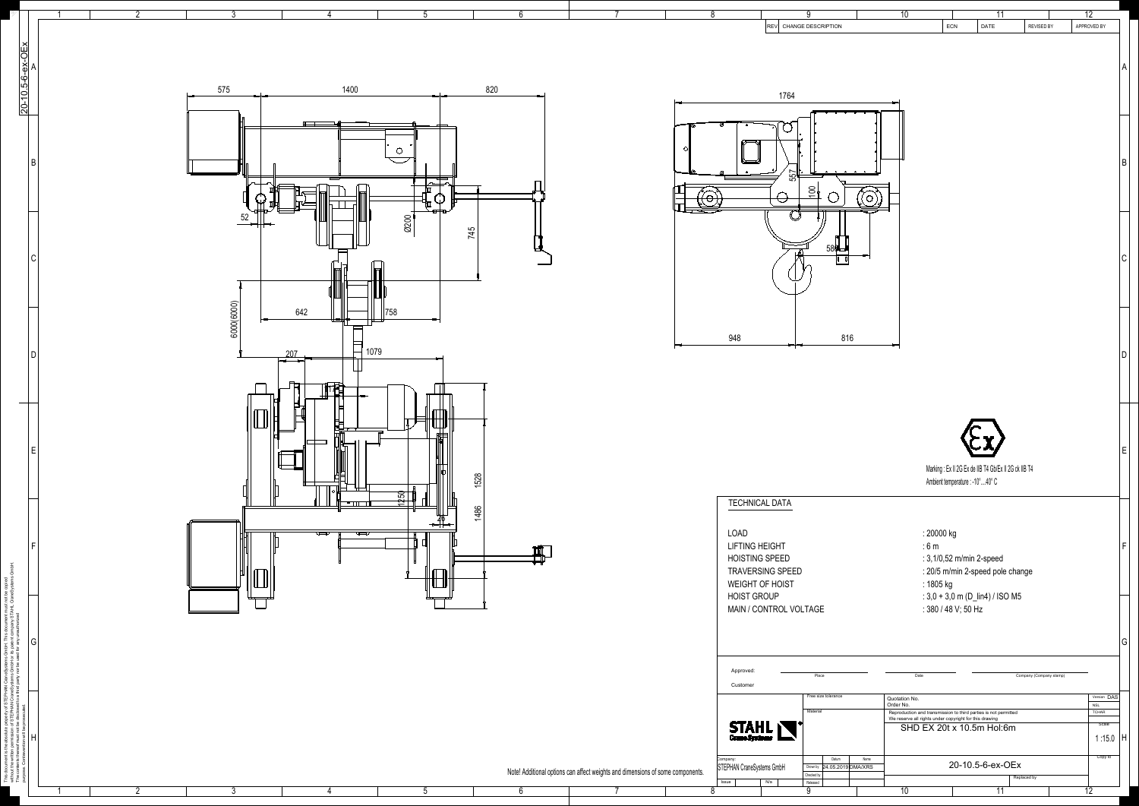

| 7                                    | $\overline{8}$                                                                                                                  |                                                                                  | $\overline{10}$                    |                                                                                                                                                                            |                                        | $\overline{12}$                                                                         |
|--------------------------------------|---------------------------------------------------------------------------------------------------------------------------------|----------------------------------------------------------------------------------|------------------------------------|----------------------------------------------------------------------------------------------------------------------------------------------------------------------------|----------------------------------------|-----------------------------------------------------------------------------------------|
|                                      |                                                                                                                                 | 9<br>CHANGE DESCRIPTION<br><b>REV</b>                                            |                                    | ECN                                                                                                                                                                        | 11<br><b>REVISED BY</b><br><b>DATE</b> | APPROVED BY                                                                             |
|                                      | ⊙<br>$\circ$<br>⋒<br>$\odot$                                                                                                    | 1764<br>ັ∘<br>557<br>$\circ$<br>$\circ$<br>$\overline{100}$                      | $\circ$<br>$\circ$<br>$\circ$      |                                                                                                                                                                            |                                        | A<br>$\sf B$                                                                            |
|                                      |                                                                                                                                 | 580<br>6                                                                         |                                    |                                                                                                                                                                            |                                        | $\mathsf C$                                                                             |
|                                      | 948                                                                                                                             |                                                                                  | 816                                |                                                                                                                                                                            |                                        | D                                                                                       |
|                                      |                                                                                                                                 |                                                                                  |                                    | Marking: Ex II 2G Ex de IIB T4 Gb/Ex II 2G ck IIB T4<br>Ambient temperature : -10°40° C                                                                                    |                                        | $\mathsf E$                                                                             |
|                                      | <b>TECHNICAL DATA</b><br><b>LOAD</b><br><b>LIFTING HEIGHT</b><br><b>HOISTING SPEED</b><br>WEIGHT OF HOIST<br><b>HOIST GROUP</b> | TRAVERSING SPEED<br>MAIN / CONTROL VOLTAGE                                       |                                    | : 20000 kg<br>:6m<br>: 3,1/0,52 m/min 2-speed<br>: 20/5 m/min 2-speed pole change<br>: 1805 kg<br>: $3,0 + 3,0$ m (D_lin4) / ISO M5<br>: 380 / 48 V; 50 Hz                 |                                        | F                                                                                       |
|                                      | Approved:<br>Customer                                                                                                           | Place                                                                            |                                    | Date                                                                                                                                                                       | Company (Company stamp)                | G                                                                                       |
|                                      | Company:<br>STEPHAN CraneSystems GmbH                                                                                           | Free size tolerance<br>Material<br>STAHL<br>Datum<br>Drown by 24.05.2019 DMA/XRS | Quotation No.<br>Order No.<br>Name | Reproduction and transmission to third parties is not permitted<br>We reserve all rights under copyright for this drawing<br>SHD EX 20t x 10.5m Hol:6m<br>20-10.5-6-ex-OEx |                                        | Version DAS<br><b>NSL</b><br><b>TCHAR</b><br>Scale<br>1:15.0<br>$\mathsf{H}$<br>Copy to |
| s and dimensions of some components. | Issue<br>$\overline{8}$                                                                                                         | Checked by<br>N/a<br>Released<br>Q                                               | $\overline{10}$                    |                                                                                                                                                                            | Replaced by<br>$\overline{11}$         | $\overline{12}$                                                                         |